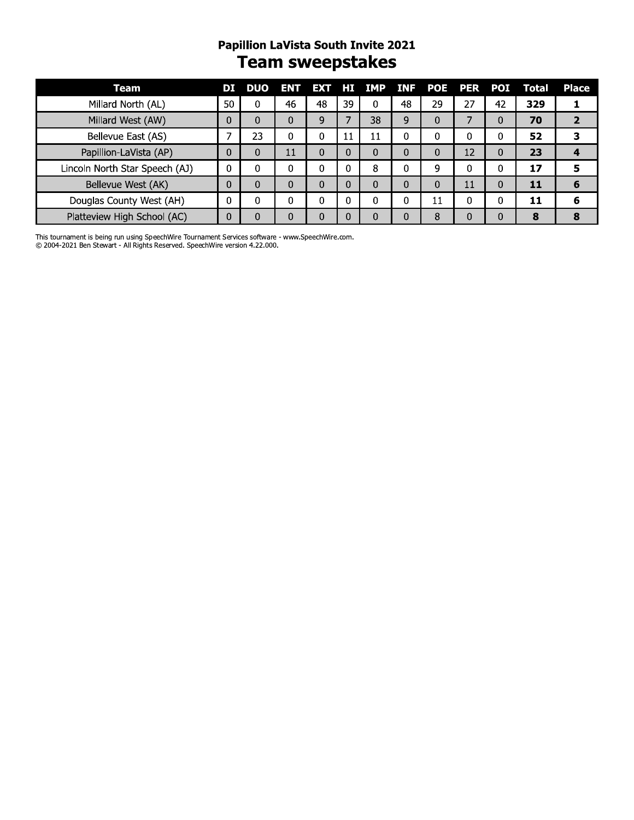#### Papillion Lavista South Invite 2021 **Team sweepstakes**

| Team                           | DІ           | <b>DUO</b> | <b>ENT</b>   | EXT HI   |              | <b>IMP</b> | <b>INF</b> | <b>POE</b> | <b>PER</b>     | <b>POI</b> | <b>Total</b> |
|--------------------------------|--------------|------------|--------------|----------|--------------|------------|------------|------------|----------------|------------|--------------|
| Millard North (AL)             | 50           | $\Omega$   | 46           | 48       | 39           | $\Omega$   | 48         | 29         | 27             | 42         | 329          |
| Millard West (AW)              | $\Omega$     | $\Omega$   | $\Omega$     | 9        | 7            | 38         | 9          | $\Omega$   | $\overline{7}$ | 0          | 70           |
| Bellevue East (AS)             | 7            | 23         | $\Omega$     | 0        | 11           | 11         | $\Omega$   | 0          | $\Omega$       | 0          | 52           |
| Papillion-LaVista (AP)         | $\Omega$     | $\Omega$   | 11           | $\Omega$ | $\Omega$     | $\Omega$   | $\Omega$   | $\Omega$   | 12             | 0          | 23           |
| Lincoln North Star Speech (AJ) | 0            | $\Omega$   | $\mathbf{0}$ | $\Omega$ | $\Omega$     | 8          | 0          | 9          | $\Omega$       | $\Omega$   | 17           |
| Bellevue West (AK)             | $\Omega$     | $\Omega$   | $\Omega$     | $\Omega$ | $\Omega$     | $\Omega$   | $\Omega$   | $\Omega$   | 11             | 0          | 11           |
| Douglas County West (AH)       | 0            | $\Omega$   | $\Omega$     | 0        | 0            | 0          | $\Omega$   | 11         | $\Omega$       | 0          | 11           |
| Platteview High School (AC)    | $\mathbf{0}$ | $\Omega$   | $\Omega$     | $\Omega$ | $\mathbf{0}$ | 0          | $\Omega$   | 8          | $\Omega$       | 0          | 8            |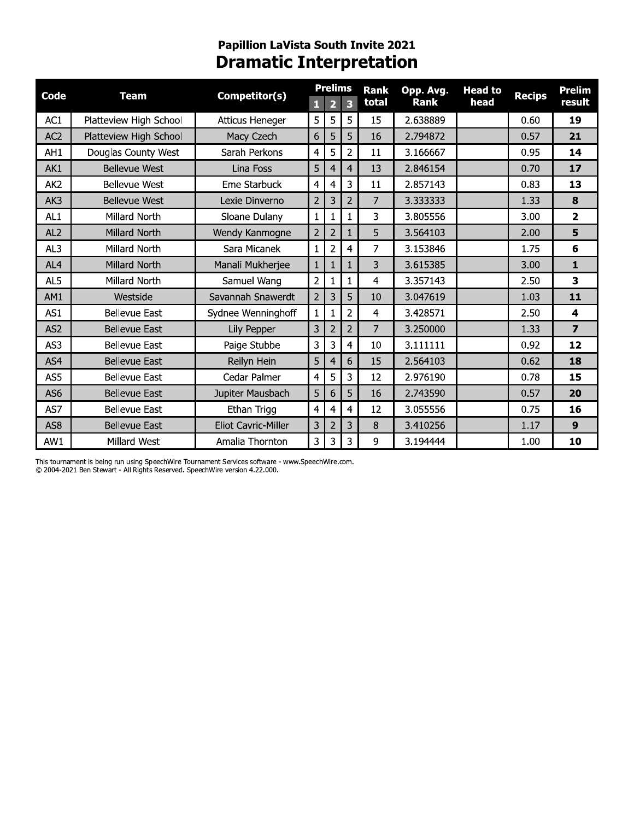## Papillion LaVista South Invite 2021<br>Dramatic Interpretation

| Code            | <b>Team</b>            | Competitor(s)              |                | <b>Prelims</b>          |                | <b>Rank</b> | Opp. Avg.   | <b>Head to</b> |               | <b>Prelim</b>           |
|-----------------|------------------------|----------------------------|----------------|-------------------------|----------------|-------------|-------------|----------------|---------------|-------------------------|
|                 |                        |                            | 1              | $\overline{\mathbf{2}}$ | 3              | total       | <b>Rank</b> | head           | <b>Recips</b> | result                  |
| AC1             | Platteview High School | <b>Atticus Heneger</b>     | 5              | 5                       | 5              | 15          | 2.638889    |                | 0.60          | 19                      |
| AC <sub>2</sub> | Platteview High School | Macy Czech                 | 6              | 5                       | 5              | 16          | 2.794872    |                | 0.57          | 21                      |
| AH1             | Douglas County West    | Sarah Perkons              | $\overline{4}$ | 5                       | 2              | 11          | 3.166667    |                | 0.95          | 14                      |
| AK1             | <b>Bellevue West</b>   | Lina Foss                  | 5              | 4                       | $\overline{4}$ | 13          | 2.846154    |                | 0.70          | 17                      |
| AK <sub>2</sub> | <b>Bellevue West</b>   | Eme Starbuck               | $\overline{4}$ | 4                       | 3              | 11          | 2.857143    |                | 0.83          | 13                      |
| AK3             | <b>Bellevue West</b>   | Lexie Dinverno             | $\overline{2}$ | 3                       | $\overline{2}$ | 7           | 3.333333    |                | 1.33          | 8                       |
| AL <sub>1</sub> | Millard North          | Sloane Dulany              | $\mathbf{1}$   | 1                       |                | 3           | 3.805556    |                | 3.00          | $\overline{2}$          |
| AL <sub>2</sub> | Millard North          | Wendy Kanmogne             | $\overline{2}$ | $\overline{2}$          |                | 5           | 3.564103    |                | 2.00          | 5                       |
| AL3             | Millard North          | Sara Micanek               | $\mathbf{1}$   | 2                       | 4              | 7           | 3.153846    |                | 1.75          | 6                       |
| AL4             | <b>Millard North</b>   | Manali Mukherjee           | $\mathbf{1}$   | $\mathbf{1}$            |                | 3           | 3.615385    |                | 3.00          | 1                       |
| AL <sub>5</sub> | Millard North          | Samuel Wang                | $\overline{2}$ | 1                       |                | 4           | 3.357143    |                | 2.50          | 3                       |
| AM1             | Westside               | Savannah Snawerdt          | $\overline{2}$ | 3                       | 5              | 10          | 3.047619    |                | 1.03          | 11                      |
| AS1             | <b>Bellevue East</b>   | Sydnee Wenninghoff         | $\mathbf{1}$   | 1                       | 2              | 4           | 3.428571    |                | 2.50          | 4                       |
| AS <sub>2</sub> | <b>Bellevue East</b>   | Lily Pepper                | 3              | $\overline{2}$          | $\overline{2}$ | 7           | 3.250000    |                | 1.33          | $\overline{\mathbf{z}}$ |
| AS3             | <b>Bellevue East</b>   | Paige Stubbe               | 3              | 3                       | 4              | 10          | 3.111111    |                | 0.92          | 12                      |
| AS4             | <b>Bellevue East</b>   | Reilyn Hein                | 5              | 4                       | 6              | 15          | 2.564103    |                | 0.62          | 18                      |
| AS5             | <b>Bellevue East</b>   | Cedar Palmer               | $\overline{4}$ | 5                       | 3              | 12          | 2.976190    |                | 0.78          | 15                      |
| AS <sub>6</sub> | <b>Bellevue East</b>   | Jupiter Mausbach           | 5              | 6                       | 5              | 16          | 2.743590    |                | 0.57          | 20                      |
| AS7             | <b>Bellevue East</b>   | Ethan Trigg                | $\overline{4}$ | 4                       | 4              | 12          | 3.055556    |                | 0.75          | 16                      |
| AS <sub>8</sub> | <b>Bellevue East</b>   | <b>Eliot Cavric-Miller</b> | 3              | $\overline{c}$          | 3              | 8           | 3.410256    |                | 1.17          | $\boldsymbol{9}$        |
| AW1             | Millard West           | Amalia Thornton            | 3              | 3                       | 3              | 9           | 3.194444    |                | 1.00          | 10                      |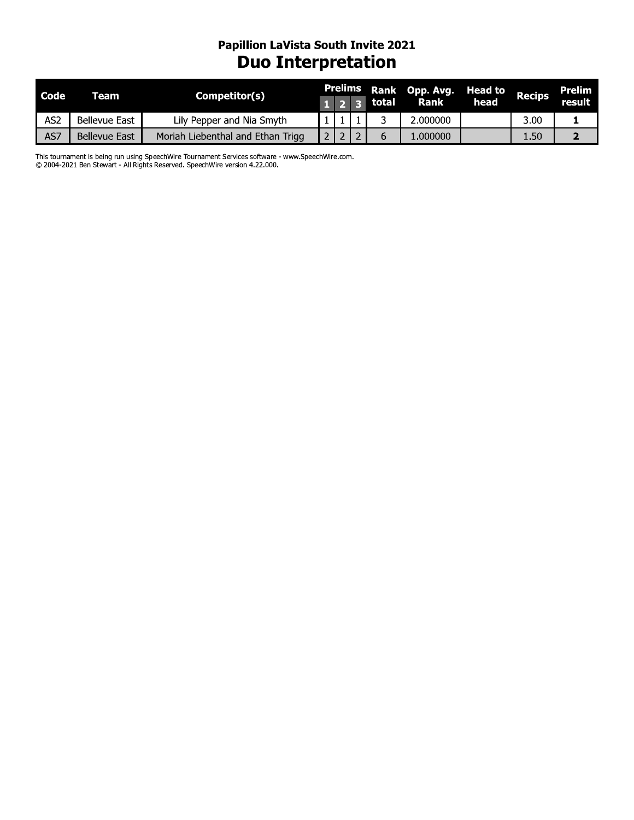#### Papillion Lavista South Invite 2021 **Duo Interpretation**

| Code | Team                 | Competitor(s)                                                                                                                                                                   |                | <b>Prelims</b>  |                | Rank  | Opp. Avg. | <b>Head to</b> | <b>Recips</b> | <b>Prelim</b>  |
|------|----------------------|---------------------------------------------------------------------------------------------------------------------------------------------------------------------------------|----------------|-----------------|----------------|-------|-----------|----------------|---------------|----------------|
|      |                      |                                                                                                                                                                                 |                | $1 \vert 2$     | $\mathbf{3}$   | total | Rank      | head           |               | result         |
| AS2  | <b>Bellevue East</b> | Lily Pepper and Nia Smyth                                                                                                                                                       |                |                 |                | 3     | 2.000000  |                | 3.00          | 1              |
| AS7  | <b>Bellevue East</b> | Moriah Liebenthal and Ethan Trigg                                                                                                                                               | 2 <sub>1</sub> | 12 <sub>1</sub> | $\overline{2}$ | 6     | 1.000000  |                | 1.50          | $\overline{2}$ |
|      |                      | This tournament is being run using SpeechWire Tournament Services software - www.SpeechWire.com.<br>© 2004-2021 Ben Stewart - All Rights Reserved. SpeechWire version 4.22.000. |                |                 |                |       |           |                |               |                |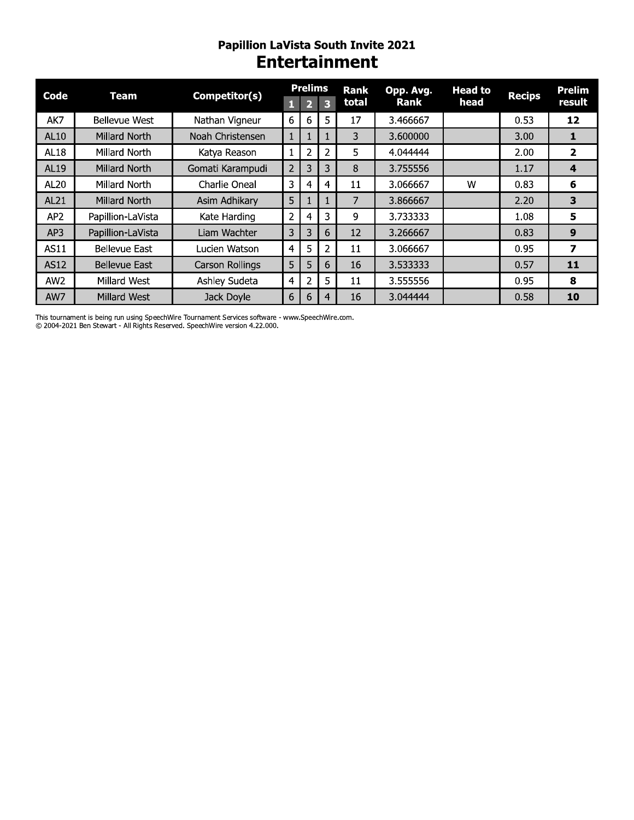#### **Papillion LaVista South Invite 2021 Entertainment**

| Code            | Team                 | Competitor(s)    |                | <b>Prelims</b> |    | Rank  | Opp. Avg.   | <b>Head to</b> | <b>Recips</b> | <b>Prelim</b> |
|-----------------|----------------------|------------------|----------------|----------------|----|-------|-------------|----------------|---------------|---------------|
|                 |                      |                  |                |                | В  | total | <b>Rank</b> | head           |               | result        |
| AK7             | <b>Bellevue West</b> | Nathan Vigneur   | 6              | 6              | 5. | 17    | 3.466667    |                | 0.53          | 12            |
| AL10            | Millard North        | Noah Christensen | 1              | T              |    | 3     | 3.600000    |                | 3.00          | 1             |
| <b>AL18</b>     | Millard North        | Katya Reason     | 1              | 2              | 2  | 5     | 4.044444    |                | 2.00          | 2             |
| <b>AL19</b>     | Millard North        | Gomati Karampudi | $\overline{2}$ | 3              | 3  | 8     | 3.755556    |                | 1.17          | 4             |
| AL20            | Millard North        | Charlie Oneal    | 3              | 4              | 4  | 11    | 3.066667    | w              | 0.83          | 6             |
| AL21            | Millard North        | Asim Adhikary    | 5              |                |    | 7     | 3.866667    |                | 2.20          | 3             |
| AP <sub>2</sub> | Papillion-LaVista    | Kate Harding     | 2              | 4              | 3  | 9     | 3.733333    |                | 1.08          | 5             |
| AP3             | Papillion-LaVista    | Liam Wachter     | 3              | 3              | 6  | 12    | 3.266667    |                | 0.83          | 9             |
| AS11            | <b>Bellevue East</b> | Lucien Watson    | 4              | 5              | 2  | 11    | 3.066667    |                | 0.95          | 7             |
| <b>AS12</b>     | <b>Bellevue East</b> | Carson Rollings  | 5              | 5              | 6  | 16    | 3.533333    |                | 0.57          | 11            |
| AW <sub>2</sub> | Millard West         | Ashley Sudeta    | 4              | 2              | 5. | 11    | 3.555556    |                | 0.95          | 8             |
| AW7             | Millard West         | Jack Doyle       | 6              | 6              | 4  | 16    | 3.044444    |                | 0.58          | 10            |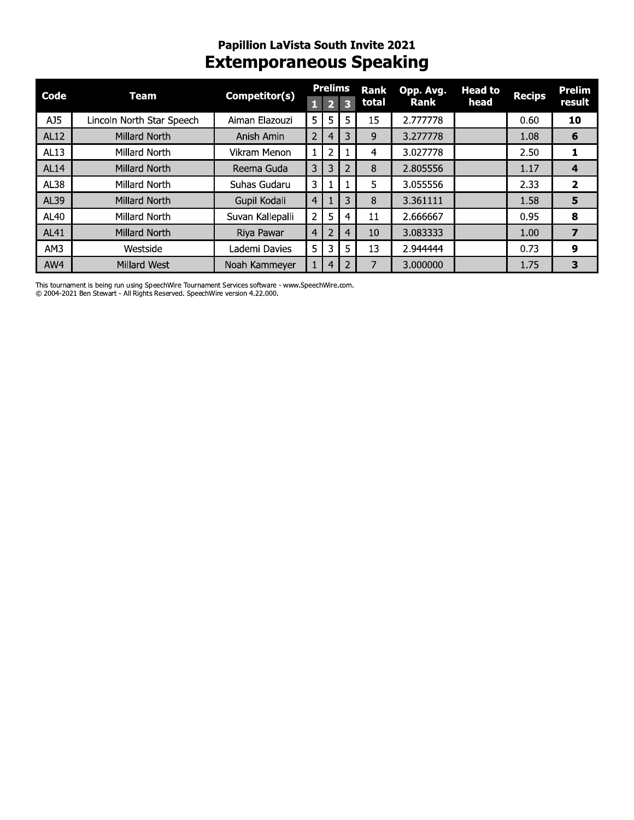#### Papillion Lavista South Invite 2021 Extemporaneous Speaking

| Code        | <b>Team</b>               | Competitor(s)    | $\mathbf{1}$   | <b>Prelims</b><br>$\overline{2}$ | 3              | <b>Rank</b><br>total | Opp. Avg.<br>Rank | <b>Head to</b><br>head | <b>Recips</b> | <b>Prelim</b><br>result |
|-------------|---------------------------|------------------|----------------|----------------------------------|----------------|----------------------|-------------------|------------------------|---------------|-------------------------|
| AJ5         | Lincoln North Star Speech | Aiman Elazouzi   | 5              | 5                                | 5              | 15                   | 2.777778          |                        | 0.60          | 10                      |
| <b>AL12</b> | <b>Millard North</b>      | Anish Amin       | $\overline{2}$ | 4                                | $\overline{3}$ | 9                    | 3.277778          |                        | 1.08          | 6                       |
| AL13        | Millard North             | Vikram Menon     | $\mathbf{1}$   | $\overline{2}$                   |                | 4                    | 3.027778          |                        | 2.50          | 1                       |
| <b>AL14</b> | <b>Millard North</b>      | Reema Guda       | 3              | 3                                | $\overline{2}$ | 8                    | 2.805556          |                        | 1.17          | 4                       |
| AL38        | Millard North             | Suhas Gudaru     | 3              | 1                                | 1              | 5                    | 3.055556          |                        | 2.33          | $\overline{2}$          |
| AL39        | <b>Millard North</b>      | Gupil Kodali     | 4 <sup>1</sup> |                                  | 3              | 8                    | 3.361111          |                        | 1.58          | 5                       |
| AL40        | Millard North             | Suvan Kallepalli | $\overline{2}$ | 5                                | 4              | 11                   | 2.666667          |                        | 0.95          | 8                       |
| AL41        | <b>Millard North</b>      | Riya Pawar       | $\overline{4}$ | $\overline{2}$                   | $\overline{4}$ | 10                   | 3.083333          |                        | 1.00          | $\overline{\mathbf{z}}$ |
| AM3         | Westside                  | Lademi Davies    | 5              | 3                                | 5              | 13                   | 2.944444          |                        | 0.73          | 9                       |
| AW4         | <b>Millard West</b>       | Noah Kammeyer    | $\mathbf{1}$   | 4                                | $\overline{2}$ | 7                    | 3.000000          |                        | 1.75          | 3                       |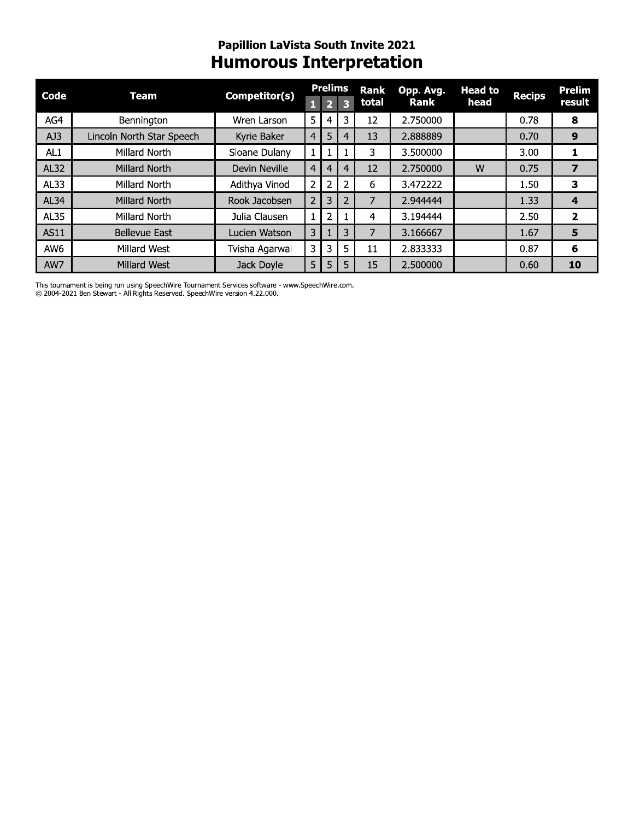#### **Papillion LaVista South Invite 2021 Humorous Interpretation**

| Code            | <b>Team</b>               | Competitor(s)        |                | <b>Prelims</b><br>D, | З              | <b>Rank</b><br>total | Opp. Avg.<br>Rank | <b>Head to</b><br>head | <b>Recips</b> | Prelim<br>result |
|-----------------|---------------------------|----------------------|----------------|----------------------|----------------|----------------------|-------------------|------------------------|---------------|------------------|
|                 |                           |                      |                |                      |                |                      |                   |                        |               |                  |
| AG4             | Bennington                | Wren Larson          | 5              | 4                    | 3              | 12                   | 2.750000          |                        | 0.78          | 8                |
| AJ3             | Lincoln North Star Speech | Kyrie Baker          | 4 <sup>1</sup> | 5                    | 4              | 13                   | 2.888889          |                        | 0.70          | 9                |
| AL1             | Millard North             | Sloane Dulany        |                |                      |                | 3                    | 3.500000          |                        | 3.00          |                  |
| <b>AL32</b>     | Millard North             | <b>Devin Neville</b> | 4 <sup>1</sup> | 4                    | 4              | 12                   | 2.750000          | W                      | 0.75          | 7                |
| AL33            | Millard North             | Adithya Vinod        | $\overline{2}$ | 2                    | 2              | 6                    | 3.472222          |                        | 1.50          | з                |
| AL34            | Millard North             | Rook Jacobsen        | $2^{\circ}$    | 3                    | $\overline{2}$ |                      | 2.944444          |                        | 1.33          | 4                |
| <b>AL35</b>     | Millard North             | Julia Clausen        |                | 2                    |                | 4                    | 3.194444          |                        | 2.50          | $\overline{2}$   |
| <b>AS11</b>     | <b>Bellevue East</b>      | Lucien Watson        | 3 <sup>1</sup> |                      | 3              |                      | 3.166667          |                        | 1.67          | 5                |
| AW <sub>6</sub> | Millard West              | Tvisha Agarwal       | 3              | 3                    | 5              | 11                   | 2.833333          |                        | 0.87          | 6                |
| AW7             | Millard West              | Jack Doyle           | 5 I            | 5                    | 5              | 15                   | 2.500000          |                        | 0.60          | 10               |

This tournament is being run using SpeechWire Tournament Services software - www.SpeechWire.com. © 2004-2021 Ben Stewart - All Rights Reserved. SpeechWire version 4.22.000.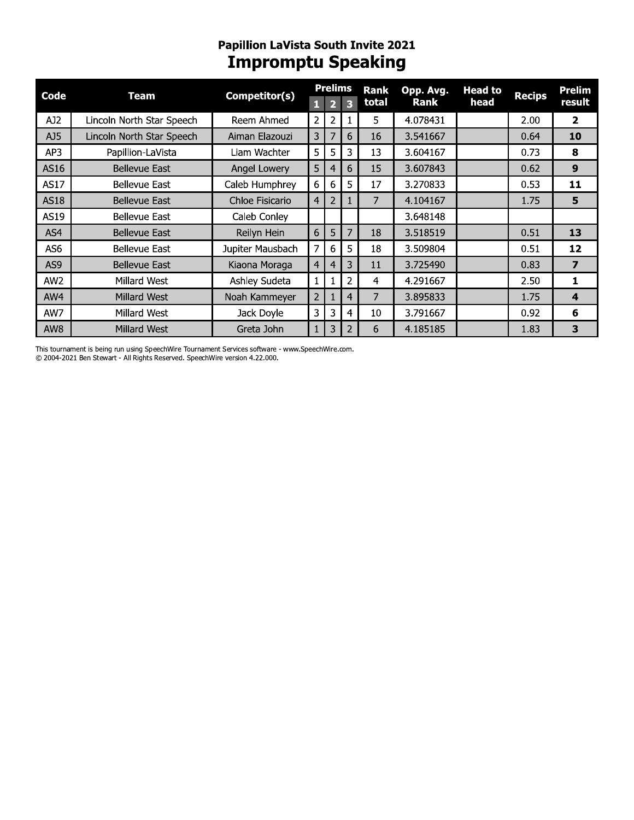## **Papillion LaVista South Invite 2021**<br>**Impromptu Speaking**

| Code            | Team                      | Competitor(s)    |                | <b>Prelims</b> |   | Rank  | Opp. Avg.   | <b>Head to</b> | <b>Recips</b> | Prelim                  |
|-----------------|---------------------------|------------------|----------------|----------------|---|-------|-------------|----------------|---------------|-------------------------|
|                 |                           |                  | П              |                | 3 | total | <b>Rank</b> | head           |               | result                  |
| AJ2             | Lincoln North Star Speech | Reem Ahmed       | 2              | $\overline{2}$ |   | 5.    | 4.078431    |                | 2.00          | $\overline{2}$          |
| AJ5             | Lincoln North Star Speech | Aiman Elazouzi   | 3              | 7              | 6 | 16    | 3.541667    |                | 0.64          | 10                      |
| AP3             | Papillion-LaVista         | Liam Wachter     | 5              | 5              | 3 | 13    | 3.604167    |                | 0.73          | 8                       |
| AS16            | Bellevue East             | Angel Lowery     | 5              | 4              | 6 | 15    | 3.607843    |                | 0.62          | 9                       |
| <b>AS17</b>     | <b>Bellevue East</b>      | Caleb Humphrey   | 6              | 6              | 5 | 17    | 3.270833    |                | 0.53          | 11                      |
| <b>AS18</b>     | <b>Bellevue East</b>      | Chloe Fisicario  | $\overline{4}$ | 2              |   | 7     | 4.104167    |                | 1.75          | 5                       |
| AS19            | <b>Bellevue East</b>      | Caleb Conley     |                |                |   |       | 3.648148    |                |               |                         |
| AS4             | <b>Bellevue East</b>      | Reilyn Hein      | 6              | 5              | 7 | 18    | 3.518519    |                | 0.51          | 13                      |
| AS6             | Bellevue East             | Jupiter Mausbach | 7              | 6              | 5 | 18    | 3.509804    |                | 0.51          | 12                      |
| AS9             | <b>Bellevue East</b>      | Kiaona Moraga    | $\overline{4}$ | 4              | 3 | 11    | 3.725490    |                | 0.83          | $\overline{\mathbf{z}}$ |
| AW <sub>2</sub> | Millard West              | Ashley Sudeta    | $\mathbf 1$    |                | 2 | 4     | 4.291667    |                | 2.50          | 1                       |
| AW4             | Millard West              | Noah Kammeyer    | 2              |                | 4 | 7     | 3.895833    |                | 1.75          | 4                       |
| AW7             | Millard West              | Jack Doyle       | 3              | 3              | 4 | 10    | 3.791667    |                | 0.92          | 6                       |
| AW8             | Millard West              | Greta John       | $\mathbf{1}$   | 3              | 2 | 6     | 4.185185    |                | 1.83          | 3                       |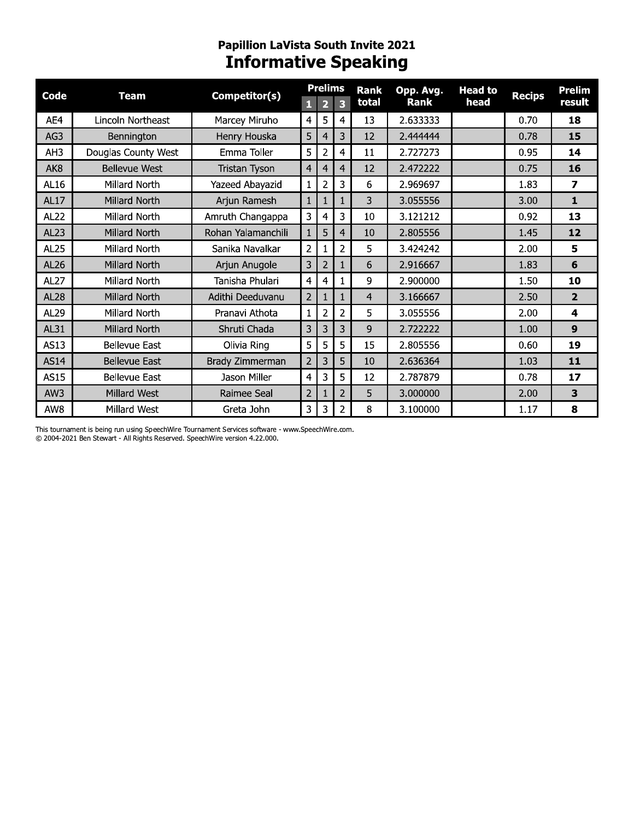## Papillion LaVista South Invite 2021<br>**Informative Speaking**

| <b>Code</b>     | <b>Team</b>          | Competitor(s)      |                | <b>Prelims</b> |                | <b>Rank</b>    | Opp. Avg.   | <b>Head to</b> | <b>Recips</b> | Prelim           |
|-----------------|----------------------|--------------------|----------------|----------------|----------------|----------------|-------------|----------------|---------------|------------------|
|                 |                      |                    | 1              | 2              | 3              | total          | <b>Rank</b> | head           |               | result           |
| AE4             | Lincoln Northeast    | Marcey Miruho      | 4              | 5              | 4              | 13             | 2.633333    |                | 0.70          | 18               |
| AG3             | Bennington           | Henry Houska       | 5              | 4              | 3              | 12             | 2.444444    |                | 0.78          | 15               |
| AH3             | Douglas County West  | Emma Toller        | 5              | $\overline{2}$ | 4              | 11             | 2.727273    |                | 0.95          | 14               |
| AK <sub>8</sub> | <b>Bellevue West</b> | Tristan Tyson      | $\overline{4}$ | 4              | 4              | 12             | 2.472222    |                | 0.75          | 16               |
| AL16            | Millard North        | Yazeed Abayazid    | 1              | $\overline{2}$ | 3              | 6              | 2.969697    |                | 1.83          | 7                |
| <b>AL17</b>     | <b>Millard North</b> | Arjun Ramesh       | $\mathbf{1}$   | 1              |                | 3              | 3.055556    |                | 3.00          | $\mathbf{1}$     |
| <b>AL22</b>     | Millard North        | Amruth Changappa   | 3              | 4              | 3              | 10             | 3.121212    |                | 0.92          | 13               |
| AL23            | Millard North        | Rohan Yalamanchili | $\mathbf{1}$   | 5              | 4              | 10             | 2.805556    |                | 1.45          | 12               |
| <b>AL25</b>     | Millard North        | Sanika Navalkar    | $\overline{2}$ | 1              | 2              | 5              | 3.424242    |                | 2.00          | 5                |
| <b>AL26</b>     | Millard North        | Arjun Anugole      | 3              | $\overline{2}$ |                | 6              | 2.916667    |                | 1.83          | 6                |
| <b>AL27</b>     | Millard North        | Tanisha Phulari    | $\overline{4}$ | 4              |                | 9              | 2.900000    |                | 1.50          | 10               |
| <b>AL28</b>     | Millard North        | Adithi Deeduvanu   | $\overline{2}$ |                |                | $\overline{4}$ | 3.166667    |                | 2.50          | $\overline{2}$   |
| AL29            | Millard North        | Pranavi Athota     | $\mathbf{1}$   | $\overline{2}$ | 2              | 5              | 3.055556    |                | 2.00          | 4                |
| <b>AL31</b>     | Millard North        | Shruti Chada       | 3              | 3              | 3              | 9              | 2.722222    |                | 1.00          | $\boldsymbol{9}$ |
| AS13            | <b>Bellevue East</b> | Olivia Ring        | 5              | 5              | 5              | 15             | 2.805556    |                | 0.60          | 19               |
| <b>AS14</b>     | <b>Bellevue East</b> | Brady Zimmerman    | $\overline{2}$ | 3              | 5              | 10             | 2.636364    |                | 1.03          | 11               |
| <b>AS15</b>     | <b>Bellevue East</b> | Jason Miller       | $\overline{4}$ | 3              | 5              | 12             | 2.787879    |                | 0.78          | 17               |
| AW3             | Millard West         | Raimee Seal        | $\overline{2}$ |                | $\overline{2}$ | 5              | 3.000000    |                | 2.00          | 3                |
| AW8             | Millard West         | Greta John         | 3              | 3              | $\overline{2}$ | 8              | 3.100000    |                | 1.17          | 8                |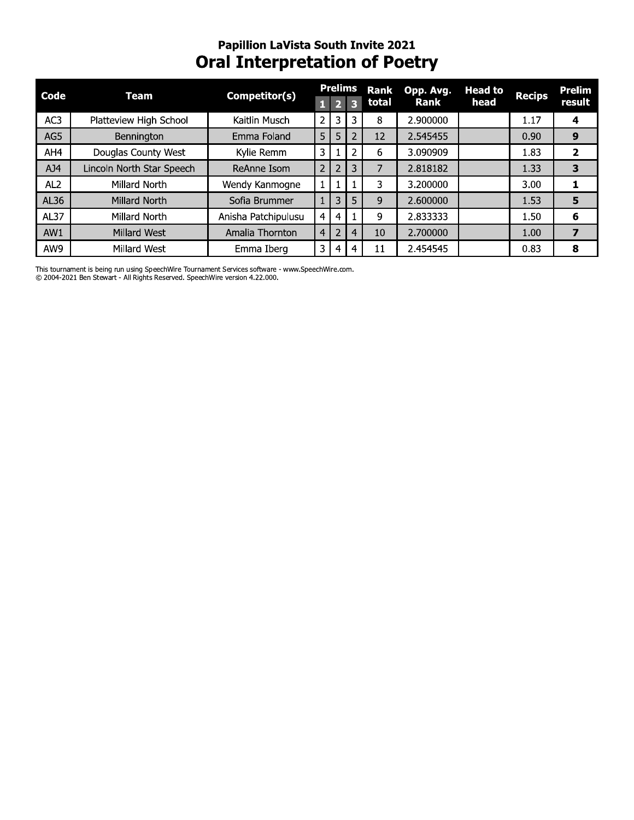#### Papillion Lavista South Invite 2021 Oral Interpretation of Poetry

|                 |                           | <b>Papillion LaVista South Invite 2021</b><br><b>Oral Interpretation of Poetry</b> |                |                |                |               |                   |                        |                   |                  |
|-----------------|---------------------------|------------------------------------------------------------------------------------|----------------|----------------|----------------|---------------|-------------------|------------------------|-------------------|------------------|
| Code            | <b>Team</b>               | Competitor(s)                                                                      |                | <b>Prelims</b> | 3              | Rank<br>total | Opp. Avg.<br>Rank | <b>Head to</b><br>head | <b>Recips</b>     | Prelim<br>result |
| AC3             | Platteview High School    | Kaitlin Musch                                                                      | 2 <sup>1</sup> | 3              | 3              | 8             | 2.900000          |                        | 1.17              | 4                |
| AG5             | Bennington                | Emma Foland                                                                        | 5 <sub>1</sub> | 5              | 2              | 12            | 2.545455          |                        | 0.90              | 9                |
| AH4             | Douglas County West       | Kylie Remm                                                                         | 3              |                |                | 6             | 3.090909          |                        | 1.83              | $\mathbf{2}$     |
| AJ4             | Lincoln North Star Speech | ReAnne Isom                                                                        | $2^{\circ}$    | 2              | 3              | 7             | 2.818182          |                        | 1.33              | 3                |
| AL <sub>2</sub> | Millard North             | Wendy Kanmogne                                                                     | $\mathbf{1}$   |                |                | 3             | 3.200000          |                        | 3.00 <sub>1</sub> | 1                |
| AL36            | Millard North             | Sofia Brummer                                                                      |                | 3              | 5              | 9             | 2.600000          |                        | 1.53              | 5                |
| AL37            | Millard North             | Anisha Patchipulusu                                                                | 4              | 4              |                | 9             | 2.833333          |                        | 1.50              | 6                |
| AW1             | Millard West              | Amalia Thornton                                                                    | $\overline{4}$ | 2              | $\overline{4}$ | 10            | 2.700000          |                        | 1.00              | $\overline{ }$   |
| AW9             | Millard West              | Emma Iberg                                                                         | 3              | 4              | 4              | 11            | 2.454545          |                        | 0.83              | 8                |

I his tournament is being run using Speechwire Tournament Services software - www.Speechwire.com. C) 2004-2021 Ben Stewart - All Rights Reserved. Speechwire version 4.22.000.

 $\mathbf{r}$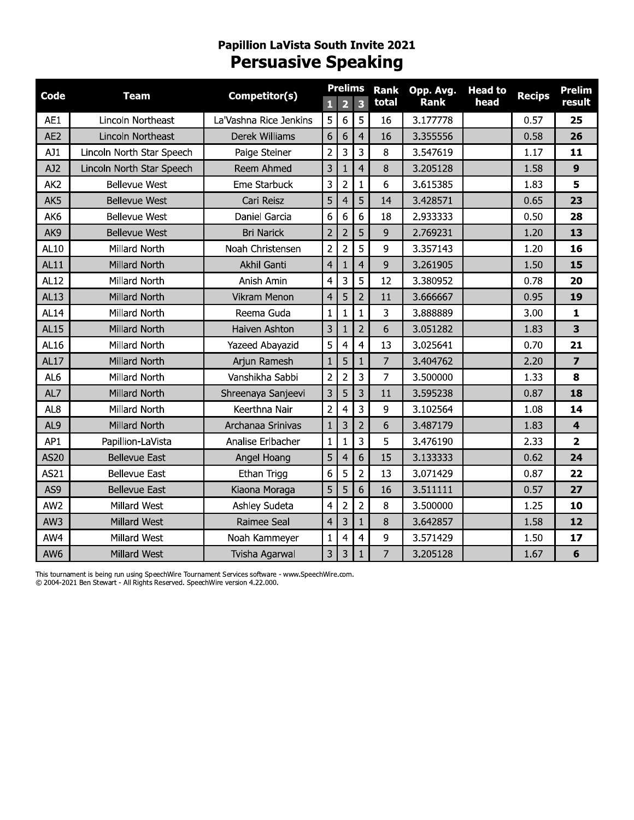#### Papillion Lavista South Invite 2021 Persuasive Speaking

| Code            | <b>Team</b>               | Competitor(s)          |                         | <b>Prelims</b>   |                | <b>Rank</b>    | Opp. Avg.   | <b>Head to</b> | <b>Recips</b> | Prelim                  |
|-----------------|---------------------------|------------------------|-------------------------|------------------|----------------|----------------|-------------|----------------|---------------|-------------------------|
|                 |                           |                        |                         | $\overline{2}$   | 3              | total          | <b>Rank</b> | head           |               | result                  |
| AE1             | Lincoln Northeast         | La'Vashna Rice Jenkins | 5                       | $\boldsymbol{6}$ | 5              | 16             | 3.177778    |                | 0.57          | 25                      |
| AE <sub>2</sub> | Lincoln Northeast         | <b>Derek Williams</b>  | $\boldsymbol{6}$        | 6                | $\overline{4}$ | 16             | 3.355556    |                | 0.58          | 26                      |
| AJ1             | Lincoln North Star Speech | Paige Steiner          | $\overline{c}$          | 3                | 3              | 8              | 3.547619    |                | 1.17          | 11                      |
| AJ2             | Lincoln North Star Speech | Reem Ahmed             | 3                       | $\mathbf{1}$     | $\overline{4}$ | 8              | 3.205128    |                | 1.58          | 9                       |
| AK <sub>2</sub> | <b>Bellevue West</b>      | Eme Starbuck           | 3                       | $\overline{2}$   | 1              | 6              | 3.615385    |                | 1.83          | 5                       |
| AK5             | <b>Bellevue West</b>      | Cari Reisz             | 5                       | $\overline{4}$   | 5              | 14             | 3.428571    |                | 0.65          | 23                      |
| AK6             | <b>Bellevue West</b>      | Daniel Garcia          | $6\phantom{.}$          | $6\phantom{1}6$  | 6              | 18             | 2.933333    |                | 0.50          | 28                      |
| AK9             | <b>Bellevue West</b>      | <b>Bri Narick</b>      | $\overline{c}$          | $\overline{2}$   | 5              | 9              | 2.769231    |                | 1.20          | 13                      |
| AL10            | Millard North             | Noah Christensen       | $\overline{2}$          | $\overline{2}$   | 5              | 9              | 3.357143    |                | 1.20          | 16                      |
| AL11            | Millard North             | Akhil Ganti            | 4                       | 1                | $\overline{4}$ | 9              | 3.261905    |                | 1.50          | 15                      |
| AL12            | Millard North             | Anish Amin             | $\overline{4}$          | 3                | 5              | 12             | 3.380952    |                | 0.78          | 20                      |
| <b>AL13</b>     | Millard North             | Vikram Menon           | $\overline{4}$          | 5                | $\overline{2}$ | 11             | 3.666667    |                | 0.95          | 19                      |
| <b>AL14</b>     | Millard North             | Reema Guda             | $\mathbf 1$             | $\mathbf{1}$     | $\mathbf{1}$   | 3              | 3.888889    |                | 3.00          | 1                       |
| <b>AL15</b>     | Millard North             | Haiven Ashton          | 3                       | $\mathbf{1}$     | $\overline{2}$ | 6              | 3.051282    |                | 1.83          | 3                       |
| AL16            | Millard North             | <b>Yazeed Abayazid</b> | 5                       | 4                | 4              | 13             | 3.025641    |                | 0.70          | 21                      |
| <b>AL17</b>     | Millard North             | Arjun Ramesh           | $\mathbf{1}$            | 5                | $\mathbf{1}$   | $\overline{7}$ | 3.404762    |                | 2.20          | $\overline{\mathbf{z}}$ |
| AL <sub>6</sub> | Millard North             | Vanshikha Sabbi        | $\overline{2}$          | $\overline{2}$   | 3              | 7              | 3.500000    |                | 1.33          | 8                       |
| AL7             | <b>Millard North</b>      | Shreenaya Sanjeevi     | $\mathsf 3$             | 5                | 3              | 11             | 3.595238    |                | 0.87          | 18                      |
| AL <sub>8</sub> | Millard North             | Keerthna Nair          | $\overline{2}$          | $\overline{4}$   | 3              | 9              | 3.102564    |                | 1.08          | 14                      |
| AL9             | Millard North             | Archanaa Srinivas      | $\mathbf{1}$            | 3                | $\overline{2}$ | 6              | 3.487179    |                | 1.83          | $\overline{\mathbf{4}}$ |
| AP1             | Papillion-LaVista         | Analise Erlbacher      | $\mathbf 1$             | $\mathbf{1}$     | 3              | 5              | 3.476190    |                | 2.33          | $\overline{2}$          |
| <b>AS20</b>     | <b>Bellevue East</b>      | Angel Hoang            | 5                       | $\overline{4}$   | 6              | 15             | 3.133333    |                | 0.62          | 24                      |
| AS21            | <b>Bellevue East</b>      | Ethan Trigg            | $\boldsymbol{6}$        | 5                | $\overline{2}$ | 13             | 3.071429    |                | 0.87          | 22                      |
| AS9             | <b>Bellevue East</b>      | Kiaona Moraga          | 5 <sub>1</sub>          | 5 <sub>1</sub>   | $6\,$          | 16             | 3.511111    |                | 0.57          | 27                      |
| AW <sub>2</sub> | Millard West              | Ashley Sudeta          | $\overline{4}$          | $\overline{2}$   | $\overline{2}$ | 8              | 3.500000    |                | 1.25          | 10                      |
| AW3             | Millard West              | Raimee Seal            | $\overline{4}$          | $\mathbf{3}$     | $\mathbf{1}$   | 8              | 3.642857    |                | 1.58          | 12                      |
| AW4             | Millard West              | Noah Kammeyer          | $\mathbf{1}$            | 4                | $\overline{a}$ | 9              | 3.571429    |                | 1.50          | 17                      |
| AW <sub>6</sub> | Millard West              | Tvisha Agarwal         | $\overline{\mathbf{3}}$ | 3                |                | 7              | 3.205128    |                | 1.67          | 6                       |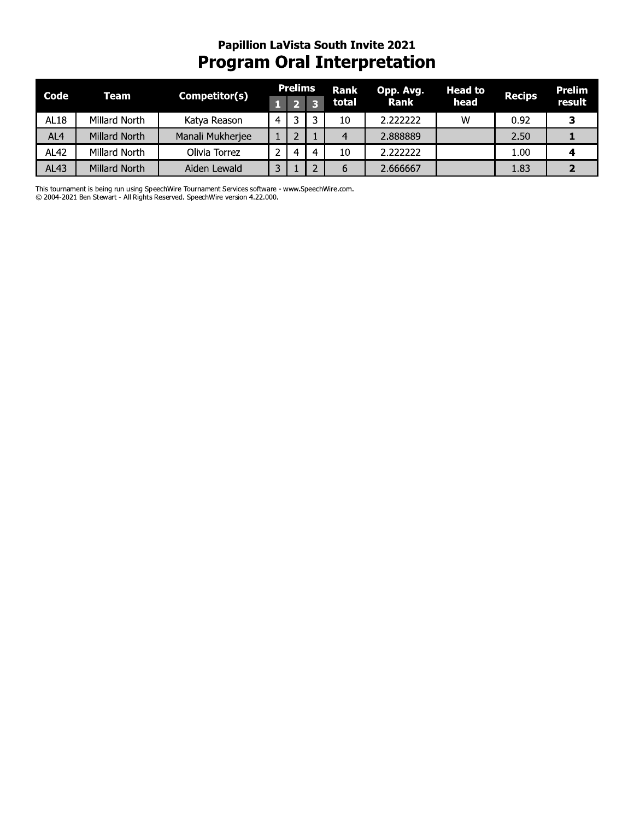## Papillion LaVista South Invite 2021<br>Program Oral Interpretation

| Code            | Team          | Competitor(s)    |   | <b>Prelims</b> |           | Rank  | Opp. Avg. | <b>Head to</b> | <b>Recips</b> | Prelim |
|-----------------|---------------|------------------|---|----------------|-----------|-------|-----------|----------------|---------------|--------|
|                 |               |                  |   |                |           | total | Rank      | head           |               | result |
| AL18            | Millard North | Katya Reason     | 4 |                |           | 10    | 2.222222  | W              | 0.92          |        |
| AL <sub>4</sub> | Millard North | Manali Mukherjee |   |                |           |       | 2.888889  |                | 2.50          |        |
| <b>AL42</b>     | Millard North | Olivia Torrez    |   | 4              | $\lambda$ | 10    | 2.222222  |                | 1.00          |        |
| <b>AL43</b>     | Millard North | Aiden Lewald     |   |                |           | b     | 2.666667  |                | 1.83          |        |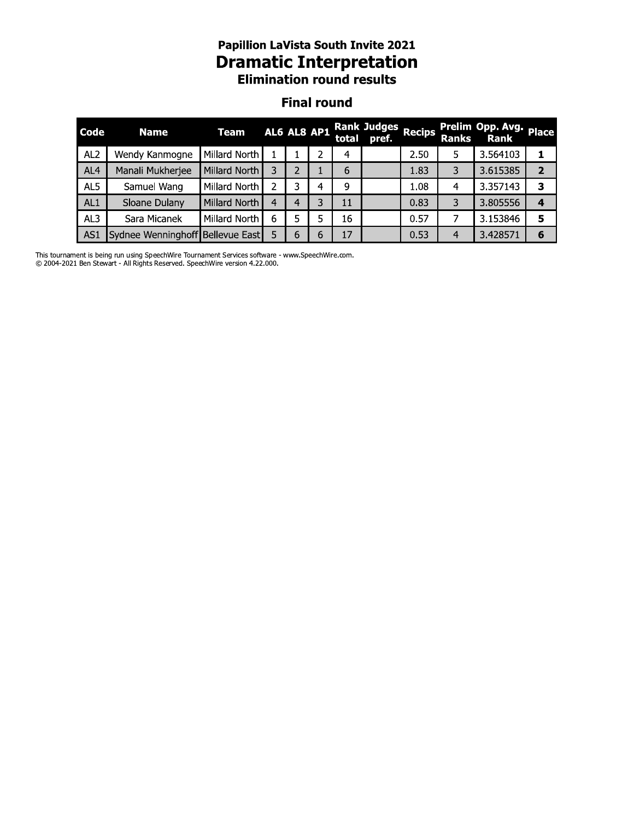# **Papillion LaVista South Invite 2021<br>Dramatic Interpretation<br>Elimination round results**

#### **Final round**

| Code            | <b>Name</b>                      | Team          |   |   | AL6 AL8 AP1 |    | Rank Judges<br>total pref. Recips |      | <b>Ranks</b>   | Prelim Opp. Avg.<br>Rank | <b>Place</b> |
|-----------------|----------------------------------|---------------|---|---|-------------|----|-----------------------------------|------|----------------|--------------------------|--------------|
| AL <sub>2</sub> | Wendy Kanmogne                   | Millard North |   |   |             | 4  |                                   | 2.50 |                | 3.564103                 |              |
| AL <sub>4</sub> | Manali Mukherjee                 | Millard North |   | 2 |             | 6  |                                   | 1.83 | 3              | 3.615385                 | 2            |
| AL5             | Samuel Wang                      | Millard North |   | 3 | 4           | 9  |                                   | 1.08 |                | 3.357143                 | З            |
| AL1             | Sloane Dulany                    | Millard North | 4 | 4 | 3           | 11 |                                   | 0.83 | 3              | 3.805556                 | 4            |
| AL3             | Sara Micanek                     | Millard North | 6 |   | 5           | 16 |                                   | 0.57 |                | 3.153846                 | 5            |
| AS <sub>1</sub> | Sydnee Wenninghoff Bellevue East |               |   | 6 | 6           | 17 |                                   | 0.53 | $\overline{4}$ | 3.428571                 | 6            |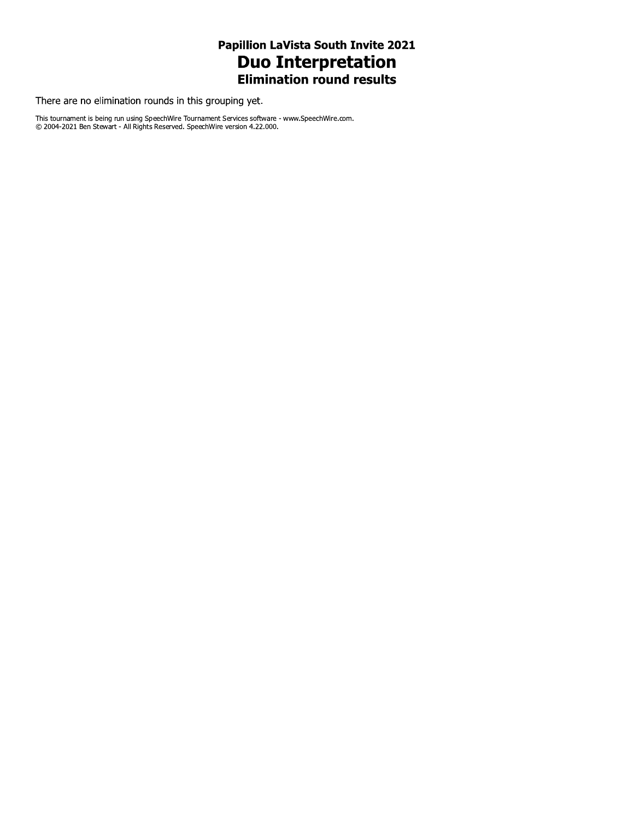### Papillion LaVista South Invite 2021 **Duo Interpretation**<br>Elimination round results

There are no elimination rounds in this grouping yet.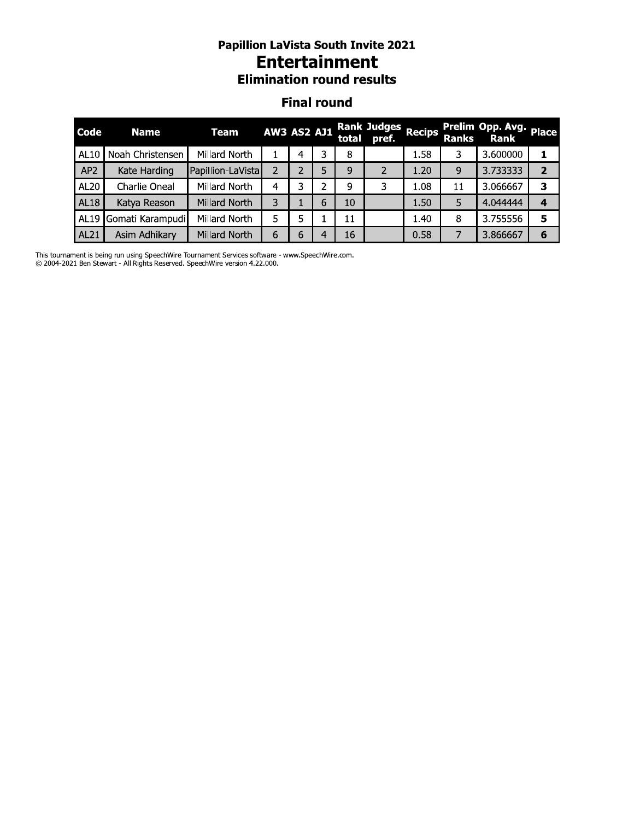#### Papillion Lavista South Invite 2021 **Entertainment Elimination round results**

#### Finai round

|             | <b>Papillion LaVista South Invite 2021</b><br><b>Entertainment</b><br><b>Elimination round results</b><br><b>Final round</b><br><b>Rank Judges</b><br>Prelim Opp. Avg. Place<br><b>Recips</b><br><b>AW3 AS2 AJ1</b><br><b>Team</b><br><b>Name</b><br><b>Ranks</b><br>total pref.<br><b>Rank</b><br>Noah Christensen<br>Millard North<br>3<br>3.600000<br>8<br>1.58<br>3<br>1<br>4<br>AP <sub>2</sub><br>Kate Harding<br>Papillion-LaVista<br>2<br>9<br>3.733333<br>$\overline{2}$<br>2<br>5<br>2<br>1.20<br>9<br>Millard North<br>3<br>Charlie Oneal<br>1.08<br>3<br>3<br>2<br>9<br>11<br>3.066667<br>4<br>3<br>10<br>5<br>Millard North<br>6<br>1.50<br>4.044444<br>Katya Reason<br>4 |               |   |    |   |    |  |      |   |          |   |  |  |
|-------------|----------------------------------------------------------------------------------------------------------------------------------------------------------------------------------------------------------------------------------------------------------------------------------------------------------------------------------------------------------------------------------------------------------------------------------------------------------------------------------------------------------------------------------------------------------------------------------------------------------------------------------------------------------------------------------------|---------------|---|----|---|----|--|------|---|----------|---|--|--|
| Code        |                                                                                                                                                                                                                                                                                                                                                                                                                                                                                                                                                                                                                                                                                        |               |   |    |   |    |  |      |   |          |   |  |  |
| AL10        |                                                                                                                                                                                                                                                                                                                                                                                                                                                                                                                                                                                                                                                                                        |               |   |    |   |    |  |      |   |          |   |  |  |
|             |                                                                                                                                                                                                                                                                                                                                                                                                                                                                                                                                                                                                                                                                                        |               |   |    |   |    |  |      |   |          |   |  |  |
| <b>AL20</b> |                                                                                                                                                                                                                                                                                                                                                                                                                                                                                                                                                                                                                                                                                        |               |   |    |   |    |  |      |   |          |   |  |  |
| <b>AL18</b> |                                                                                                                                                                                                                                                                                                                                                                                                                                                                                                                                                                                                                                                                                        |               |   |    |   |    |  |      |   |          |   |  |  |
| <b>AL19</b> | Gomati Karampudi                                                                                                                                                                                                                                                                                                                                                                                                                                                                                                                                                                                                                                                                       | Millard North | 5 | 5. |   | 11 |  | 1.40 | 8 | 3.755556 | 5 |  |  |
| AL21        | Asim Adhikary                                                                                                                                                                                                                                                                                                                                                                                                                                                                                                                                                                                                                                                                          | Millard North | 6 | 6  | 4 | 16 |  | 0.58 | 7 | 3.866667 | 6 |  |  |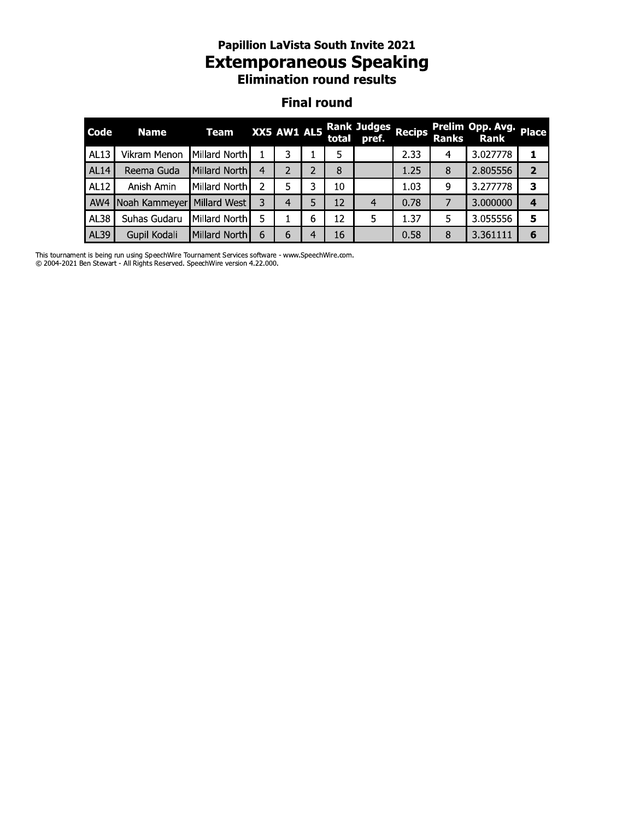#### Papillion Lavista South Invite 2021 Extemporaneous Speaking **Elimination round results**

#### Finai round

|                    | Papillion Lavista South Invite 2021<br><b>Extemporaneous Speaking</b><br><b>Elimination round results</b> |               |                |               |                |       |                             |        |              |                                 |                |  |  |
|--------------------|-----------------------------------------------------------------------------------------------------------|---------------|----------------|---------------|----------------|-------|-----------------------------|--------|--------------|---------------------------------|----------------|--|--|
| <b>Final round</b> |                                                                                                           |               |                |               |                |       |                             |        |              |                                 |                |  |  |
| Code               | <b>Name</b>                                                                                               | <b>Team</b>   |                | XX5 AW1 AL5   |                | total | <b>Rank Judges</b><br>pref. | Recips | <b>Ranks</b> | Prelim Opp. Avg.<br><b>Rank</b> | <b>Place</b>   |  |  |
| <b>AL13</b>        | Vikram Menon                                                                                              | Millard North |                | 3             |                | 5     |                             | 2.33   | 4            | 3.027778                        | 1              |  |  |
| <b>AL14</b>        | Reema Guda                                                                                                | Millard North | $\overline{4}$ | $\mathcal{P}$ | $\overline{2}$ | 8     |                             | 1.25   | 8            | 2.805556                        | $\overline{2}$ |  |  |
| <b>AL12</b>        | Anish Amin                                                                                                | Millard North | 2              | 5             | 3              | 10    |                             | 1.03   | 9            | 3.277778                        | 3              |  |  |
| AW4                | Noah Kammeyer                                                                                             | Millard West  | 3              | 4             | 5              | 12    | $\overline{4}$              | 0.78   | 7            | 3.000000                        | $\overline{4}$ |  |  |
| <b>AL38</b>        | Suhas Gudaru                                                                                              | Millard North | 5              |               | 6              | 12    | 5                           | 1.37   | 5            | 3.055556                        | 5              |  |  |
| AL39               | Gupil Kodali                                                                                              | Millard North | 6              | 6             | 4              | 16    |                             | 0.58   | 8            | 3.361111                        | 6              |  |  |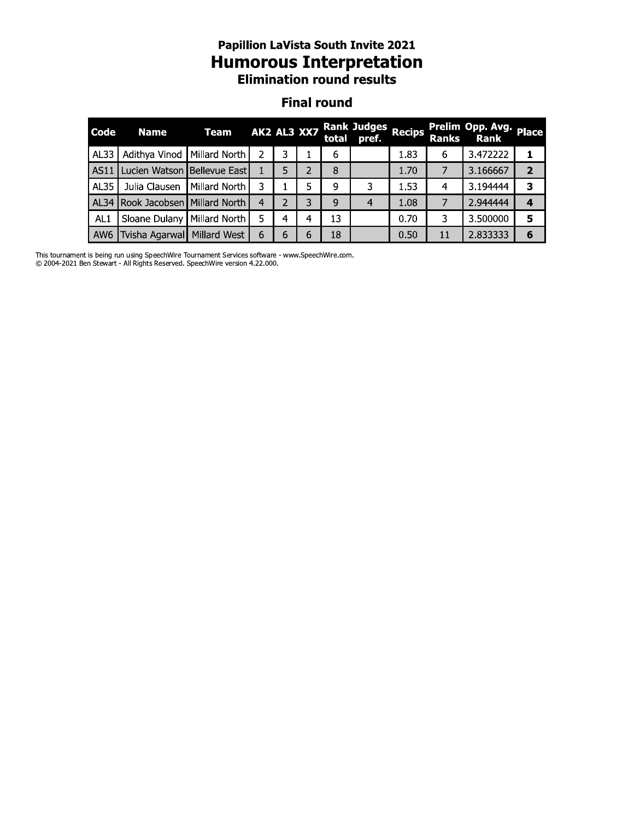#### Papillion Lavista South Invite 2021 Humorous Interpretation **Elimination round results**

#### Finai round

|                 | <b>Papillion LaVista South Invite 2021</b><br><b>Humorous Interpretation</b><br><b>Elimination round results</b><br><b>Final round</b><br><b>Rank Judges</b><br>Prelim Opp. Avg.<br><b>Recips</b><br><b>Place</b><br>AK2 AL3 XX7<br><b>Team</b><br><b>Name</b><br>total pref.<br><b>Ranks</b><br><b>Rank</b><br>Millard North<br>3.472222<br>Adithya Vinod<br>2<br>3<br>6<br>1.83<br>6<br>1<br>Lucien Watson Bellevue East<br>3.166667<br>$\overline{2}$<br>5<br>2<br>8<br>1.70<br>$\overline{7}$<br>3<br>5<br>Julia Clausen<br>1.53<br>3.194444<br>з<br>Millard North<br>9<br>3<br>4<br>Rook Jacobsen   Millard North<br>$\overline{2}$<br>3<br>4<br>$\overline{4}$<br>1.08<br>$\overline{7}$<br>2.944444<br>9<br>$\overline{4}$ |               |   |   |   |    |  |      |    |          |   |
|-----------------|-----------------------------------------------------------------------------------------------------------------------------------------------------------------------------------------------------------------------------------------------------------------------------------------------------------------------------------------------------------------------------------------------------------------------------------------------------------------------------------------------------------------------------------------------------------------------------------------------------------------------------------------------------------------------------------------------------------------------------------|---------------|---|---|---|----|--|------|----|----------|---|
| Code            |                                                                                                                                                                                                                                                                                                                                                                                                                                                                                                                                                                                                                                                                                                                                   |               |   |   |   |    |  |      |    |          |   |
| AL33            |                                                                                                                                                                                                                                                                                                                                                                                                                                                                                                                                                                                                                                                                                                                                   |               |   |   |   |    |  |      |    |          |   |
| AS11            |                                                                                                                                                                                                                                                                                                                                                                                                                                                                                                                                                                                                                                                                                                                                   |               |   |   |   |    |  |      |    |          |   |
| <b>AL35</b>     |                                                                                                                                                                                                                                                                                                                                                                                                                                                                                                                                                                                                                                                                                                                                   |               |   |   |   |    |  |      |    |          |   |
| <b>AL34</b>     |                                                                                                                                                                                                                                                                                                                                                                                                                                                                                                                                                                                                                                                                                                                                   |               |   |   |   |    |  |      |    |          |   |
| AL <sub>1</sub> | Sloane Dulany                                                                                                                                                                                                                                                                                                                                                                                                                                                                                                                                                                                                                                                                                                                     | Millard North | 5 | 4 | 4 | 13 |  | 0.70 | 3  | 3.500000 | 5 |
| AW <sub>6</sub> | Tvisha Agarwal   Millard West                                                                                                                                                                                                                                                                                                                                                                                                                                                                                                                                                                                                                                                                                                     |               | 6 | 6 | 6 | 18 |  | 0.50 | 11 | 2.833333 | 6 |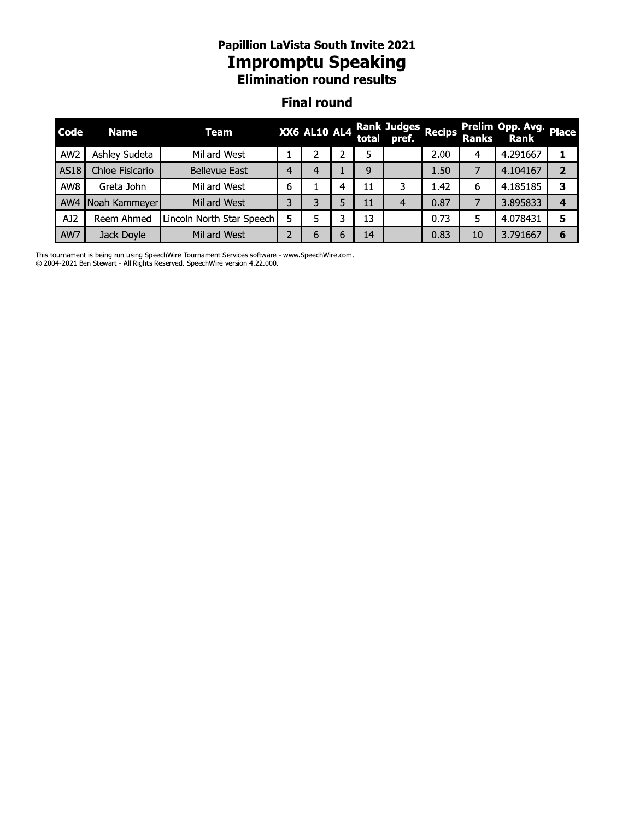#### Papillion Lavista South Invite 2021 **Impromptu Speaking Elimination round results**

#### Finai round

|                 |                 | <b>Papillion LaVista South Invite 2021</b><br><b>Impromptu Speaking</b><br><b>Elimination round results</b> |   |                     |   |    |                                   |               |              |                                |                |
|-----------------|-----------------|-------------------------------------------------------------------------------------------------------------|---|---------------------|---|----|-----------------------------------|---------------|--------------|--------------------------------|----------------|
|                 |                 |                                                                                                             |   | <b>Final round</b>  |   |    |                                   |               |              |                                |                |
| <b>Code</b>     | <b>Name</b>     | Team                                                                                                        |   | <b>XX6 AL10 AL4</b> |   |    | <b>Rank Judges</b><br>total pref. | <b>Recips</b> | <b>Ranks</b> | Prelim Opp. Avg. Place<br>Rank |                |
| AW <sub>2</sub> | Ashley Sudeta   | Millard West                                                                                                |   |                     |   | 5  |                                   | 2.00          | 4            | 4.291667                       | ı              |
| <b>AS18</b>     | Chloe Fisicario | <b>Bellevue East</b>                                                                                        | 4 | $\overline{4}$      |   | 9  |                                   | 1.50          | 7            | 4.104167                       | $\overline{2}$ |
| AW8             | Greta John      | Millard West                                                                                                | 6 |                     | 4 | 11 | 3                                 | 1.42          | 6            | 4.185185                       | 3              |
| AW4             | Noah Kammeyer   | Millard West                                                                                                | 3 | 3                   | 5 | 11 | 4                                 | 0.87          | 7            | 3.895833                       | 4              |
| AJ2             | Reem Ahmed      | Lincoln North Star Speech                                                                                   | 5 | 5                   | 3 | 13 |                                   | 0.73          | 5.           | 4.078431                       | 5              |
| AW7             | Jack Doyle      | Millard West                                                                                                | 2 | 6                   | 6 | 14 |                                   | 0.83          | 10           | 3.791667                       | 6              |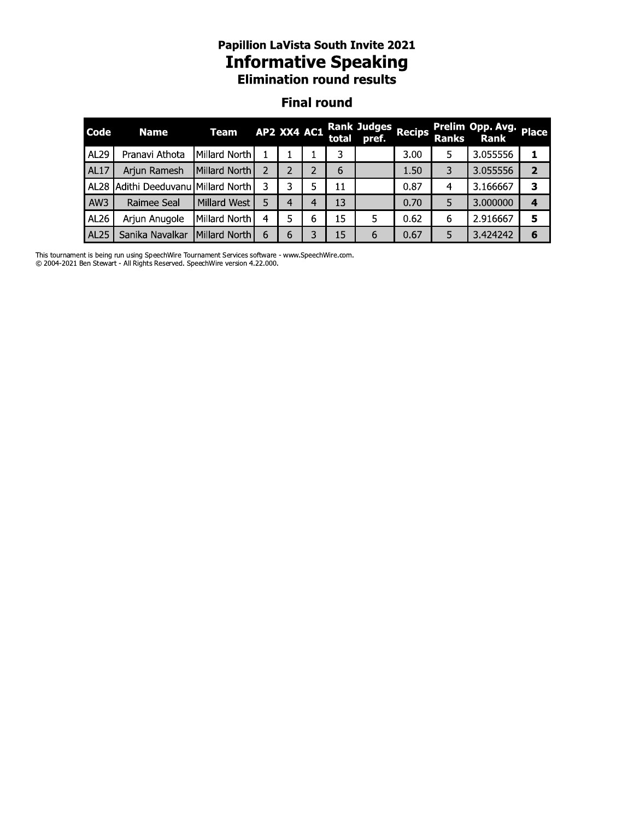# **Papillion LaVista South Invite 2021<br>Informative Speaking<br>Elimination round results**

#### **Final round**

| Code             | <b>Name</b>                    | Team          | AP2 XX4 AC1 |   |   |    | Rank Judges<br>total pref. Recips |      | <b>Ranks</b> | Prelim Opp. Avg. Place<br>Rank |   |
|------------------|--------------------------------|---------------|-------------|---|---|----|-----------------------------------|------|--------------|--------------------------------|---|
| AL29             | Pranavi Athota                 | Millard North |             |   |   | 3  |                                   | 3.00 | 5            | 3.055556                       |   |
| <b>AL17</b>      | Arjun Ramesh                   | Millard North |             |   |   | 6  |                                   | 1.50 | 3            | 3.055556                       | 2 |
| AL28             | Adithi Deeduvanu Millard North |               |             | 3 |   | 11 |                                   | 0.87 | 4            | 3.166667                       | 3 |
| AW3              | Raimee Seal                    | Millard West  |             |   | 4 | 13 |                                   | 0.70 | 5            | 3.000000                       | 4 |
| AL26             | Arjun Anugole                  | Millard North | 4           | 5 | 6 | 15 | 5                                 | 0.62 | 6            | 2.916667                       | 5 |
| AL <sub>25</sub> | Sanika Navalkar                | Millard North | 6           | 6 |   | 15 | 6                                 | 0.67 | 5            | 3.424242                       | 6 |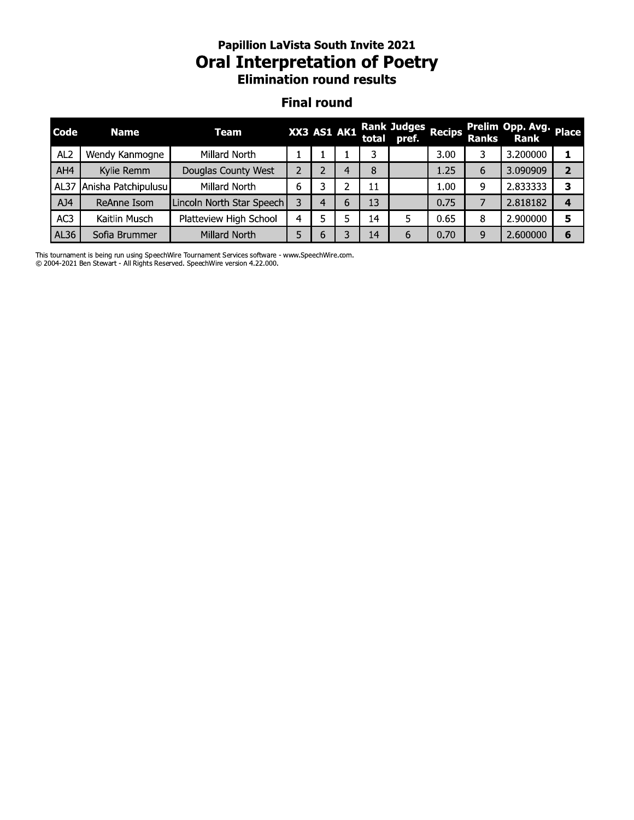#### Papillion Lavista South Invite 2021 Oral Interpretation of Poetry **Elimination round results**

#### Finai round

|                 | <b>Papillion LaVista South Invite 2021</b><br><b>Oral Interpretation of Poetry</b><br><b>Elimination round results</b><br><b>Final round</b> |                           |                |   |             |       |                             |               |              |                                       |                         |  |
|-----------------|----------------------------------------------------------------------------------------------------------------------------------------------|---------------------------|----------------|---|-------------|-------|-----------------------------|---------------|--------------|---------------------------------------|-------------------------|--|
| Code            | <b>Name</b>                                                                                                                                  | <b>Team</b>               |                |   | XX3 AS1 AK1 | total | <b>Rank Judges</b><br>pref. | <b>Recips</b> | <b>Ranks</b> | Prelim Opp. Avg. Place<br><b>Rank</b> |                         |  |
| AL <sub>2</sub> | Wendy Kanmogne                                                                                                                               | Millard North             |                |   |             | 3     |                             | 3.00          | 3            | 3.200000                              | 1                       |  |
| AH4             | Kylie Remm                                                                                                                                   | Douglas County West       | $\overline{2}$ | 2 | 4           | 8     |                             | 1.25          | 6            | 3.090909                              | $\overline{2}$          |  |
| AL37            | Anisha Patchipulusu                                                                                                                          | Millard North             | 6              | 3 | 2           | 11    |                             | 1.00          | 9            | 2.833333                              | 3                       |  |
| AJ4             | ReAnne Isom                                                                                                                                  | Lincoln North Star Speech | 3              | 4 | 6           | 13    |                             | 0.75          | 7            | 2.818182                              | $\overline{\mathbf{4}}$ |  |
| AC3             | Kaitlin Musch                                                                                                                                | Platteview High School    | 4              | 5 | 5           | 14    | 5.                          | 0.65          | 8            | 2.900000                              | 5                       |  |
| AL36            | Sofia Brummer                                                                                                                                | Millard North             | 5              | 6 | 3           | 14    | 6                           | 0.70          | 9            | 2.600000                              | 6                       |  |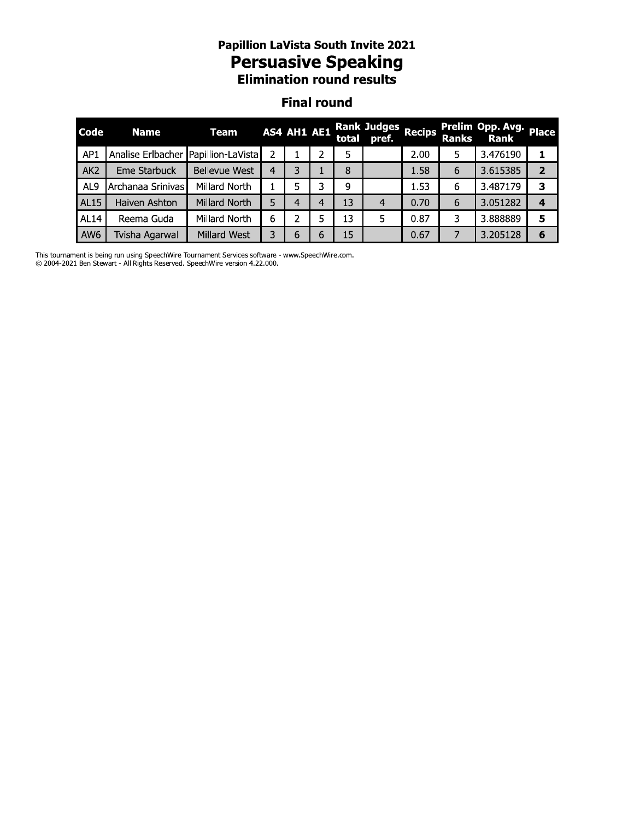# **Papillion LaVista South Invite 2021<br>Persuasive Speaking<br>Elimination round results**

#### **Final round**

| Code            | <b>Name</b>                         | Team                |   | AS4 AH1 AE1 |   |    | Rank Judges Recips<br>total pref. |      |   | Prelim Opp. Avg. Place<br>Ranks Rank |                         |
|-----------------|-------------------------------------|---------------------|---|-------------|---|----|-----------------------------------|------|---|--------------------------------------|-------------------------|
| AP <sub>1</sub> | Analise Erlbacher Papillion-LaVista |                     |   |             |   | 5  |                                   | 2.00 |   | 3.476190                             |                         |
| AK <sub>2</sub> | Eme Starbuck                        | Bellevue West       | 4 | 3           |   | 8  |                                   | 1.58 | 6 | 3.615385                             | $\overline{\mathbf{2}}$ |
| AL <sub>9</sub> | Archanaa Srinivas                   | Millard North       |   | 5           | 3 | 9  |                                   | 1.53 | 6 | 3.487179                             | 3                       |
| <b>AL15</b>     | Haiven Ashton                       | Millard North       | 5 | 4           | 4 | 13 | 4                                 | 0.70 | 6 | 3.051282                             | $\boldsymbol{4}$        |
| <b>AL14</b>     | Reema Guda                          | Millard North       | 6 | 2           |   | 13 | 5                                 | 0.87 | 3 | 3.888889                             | 5                       |
| AW <sub>6</sub> | Tvisha Agarwal                      | <b>Millard West</b> | 3 | 6           | 6 | 15 |                                   | 0.67 |   | 3.205128                             | 6                       |